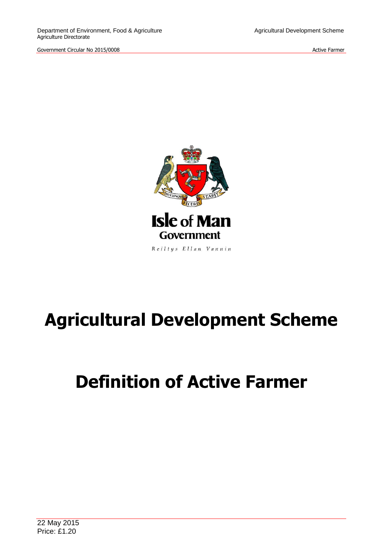Government Circular No 2015/0008 **Active Farmer** Circular No 2015/0008



Reiltys Ellan Vannin

# **Agricultural Development Scheme**

# **Definition of Active Farmer**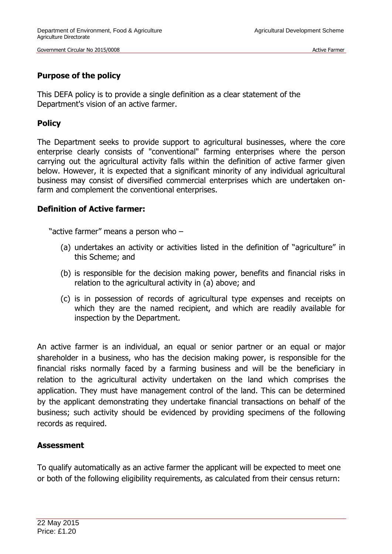## **Purpose of the policy**

This DEFA policy is to provide a single definition as a clear statement of the Department's vision of an active farmer.

## **Policy**

The Department seeks to provide support to agricultural businesses, where the core enterprise clearly consists of "conventional" farming enterprises where the person carrying out the agricultural activity falls within the definition of active farmer given below. However, it is expected that a significant minority of any individual agricultural business may consist of diversified commercial enterprises which are undertaken onfarm and complement the conventional enterprises.

### **Definition of Active farmer:**

"active farmer" means a person who –

- (a) undertakes an activity or activities listed in the definition of "agriculture" in this Scheme; and
- (b) is responsible for the decision making power, benefits and financial risks in relation to the agricultural activity in (a) above; and
- (c) is in possession of records of agricultural type expenses and receipts on which they are the named recipient, and which are readily available for inspection by the Department.

An active farmer is an individual, an equal or senior partner or an equal or major shareholder in a business, who has the decision making power, is responsible for the financial risks normally faced by a farming business and will be the beneficiary in relation to the agricultural activity undertaken on the land which comprises the application. They must have management control of the land. This can be determined by the applicant demonstrating they undertake financial transactions on behalf of the business; such activity should be evidenced by providing specimens of the following records as required.

### **Assessment**

To qualify automatically as an active farmer the applicant will be expected to meet one or both of the following eligibility requirements, as calculated from their census return: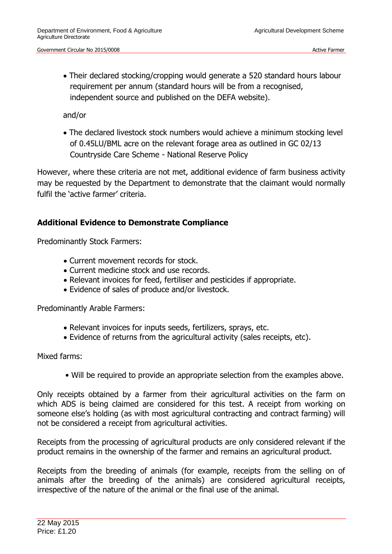Their declared stocking/cropping would generate a 520 standard hours labour requirement per annum (standard hours will be from a recognised, independent source and published on the DEFA website).

and/or

 The declared livestock stock numbers would achieve a minimum stocking level of 0.45LU/BML acre on the relevant forage area as outlined in GC 02/13 Countryside Care Scheme - National Reserve Policy

However, where these criteria are not met, additional evidence of farm business activity may be requested by the Department to demonstrate that the claimant would normally fulfil the 'active farmer' criteria.

## **Additional Evidence to Demonstrate Compliance**

Predominantly Stock Farmers:

- Current movement records for stock.
- Current medicine stock and use records.
- Relevant invoices for feed, fertiliser and pesticides if appropriate.
- Evidence of sales of produce and/or livestock.

Predominantly Arable Farmers:

- Relevant invoices for inputs seeds, fertilizers, sprays, etc.
- Evidence of returns from the agricultural activity (sales receipts, etc).

Mixed farms:

• Will be required to provide an appropriate selection from the examples above.

Only receipts obtained by a farmer from their agricultural activities on the farm on which ADS is being claimed are considered for this test. A receipt from working on someone else's holding (as with most agricultural contracting and contract farming) will not be considered a receipt from agricultural activities.

Receipts from the processing of agricultural products are only considered relevant if the product remains in the ownership of the farmer and remains an agricultural product.

Receipts from the breeding of animals (for example, receipts from the selling on of animals after the breeding of the animals) are considered agricultural receipts, irrespective of the nature of the animal or the final use of the animal.